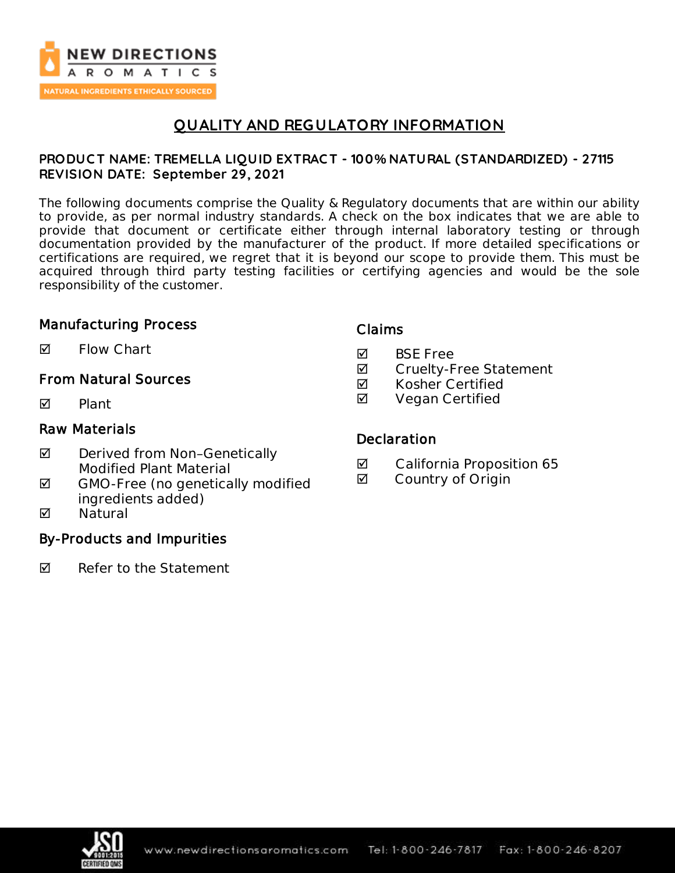

# **QUALITY AND REGULATORY INFORMATION**

### **PRODUC T NAME: TREMELLA LIQUID EXTRAC T - 100% NATURAL (STANDARDIZED) - 27115 REVISION DATE: September 29, 2021**

The following documents comprise the Quality & Regulatory documents that are within our ability to provide, as per normal industry standards. A check on the box indicates that we are able to provide that document or certificate either through internal laboratory testing or through documentation provided by the manufacturer of the product. If more detailed specifications or certifications are required, we regret that it is beyond our scope to provide them. This must be acquired through third party testing facilities or certifying agencies and would be the sole responsibility of the customer.

### Manufacturing Process

 $\blacksquare$  Flow Chart

### From Natural Sources

 $\nabla$  Plant

### Raw Materials

- ◘ Derived from Non-Genetically Modified Plant Material
- $\boxtimes$  GMO-Free (no genetically modified ingredients added)
- **M** Natural

### By-Products and Impurities

 $\nabla$  Refer to the Statement

### Claims

- **M** BSF Free
- **Ø** Cruelty-Free Statement
- $\boxtimes$  Kosher Certified
- **Ø** Vegan Certified

#### **Declaration**

- California Proposition 65
- **Ø** Country of Origin

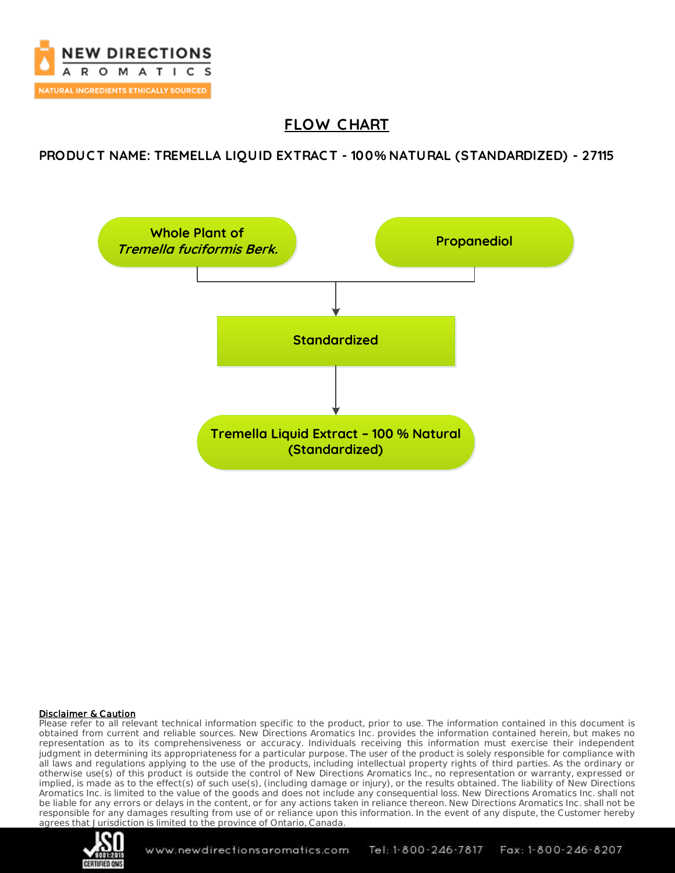

# **FLOW C HART**

### **PRODUC T NAME: TREMELLA LIQUID EXTRAC T - 100% NATURAL (STANDARDIZED) - 27115**



#### Disclaimer & Caution

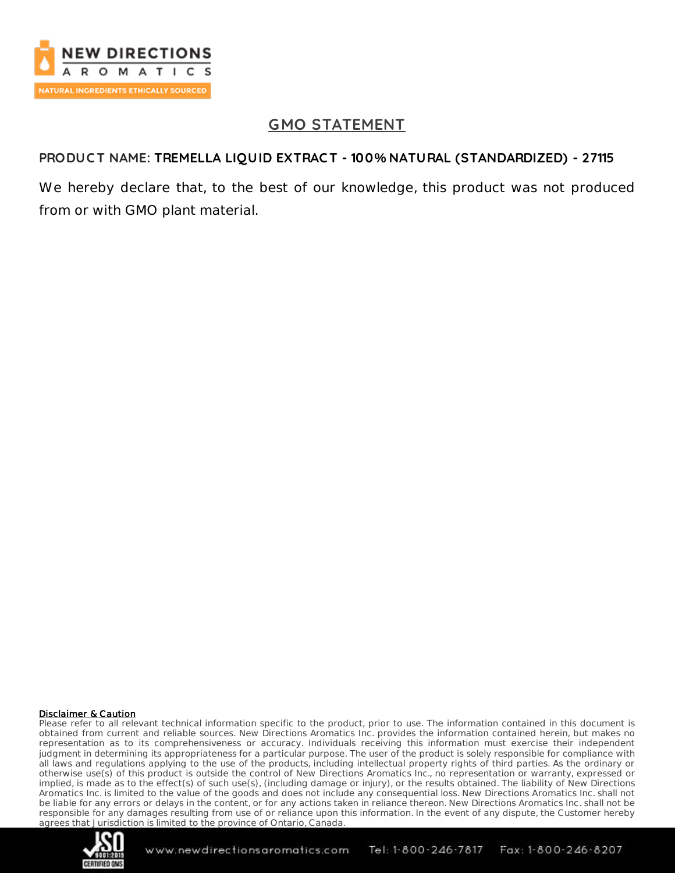

# **GMO STATEMENT**

## **PRODUC T NAME: TREMELLA LIQUID EXTRAC T - 100% NATURAL (STANDARDIZED) - 27115**

We hereby declare that, to the best of our knowledge, this product was not produced from or with GMO plant material.

#### Disclaimer & Caution

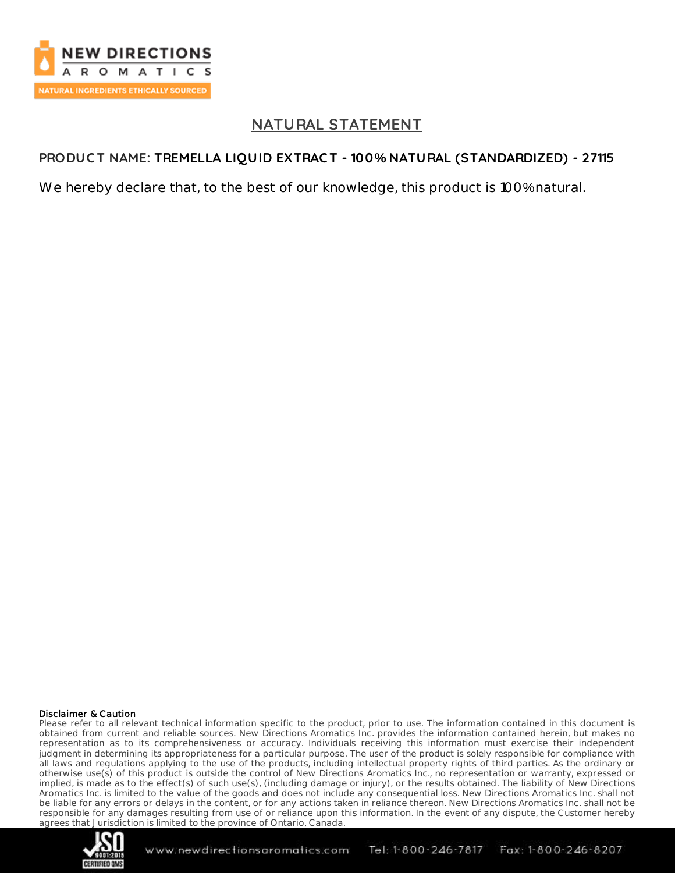

# **NATURAL STATEMENT**

## **PRODUC T NAME: TREMELLA LIQUID EXTRAC T - 100% NATURAL (STANDARDIZED) - 27115**

We hereby declare that, to the best of our knowledge, this product is 100% natural.

#### Disclaimer & Caution

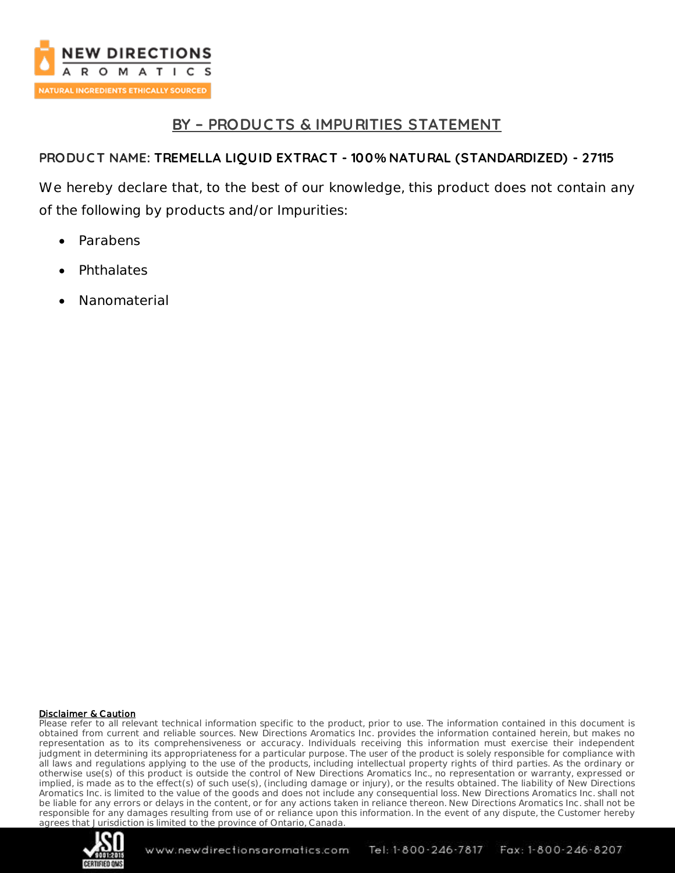

# **BY – PRODUC TS & IMPURITIES STATEMENT**

## **PRODUC T NAME: TREMELLA LIQUID EXTRAC T - 100% NATURAL (STANDARDIZED) - 27115**

We hereby declare that, to the best of our knowledge, this product does not contain any of the following by products and/or Impurities:

- Parabens
- **Phthalates**
- Nanomaterial

#### Disclaimer & Caution

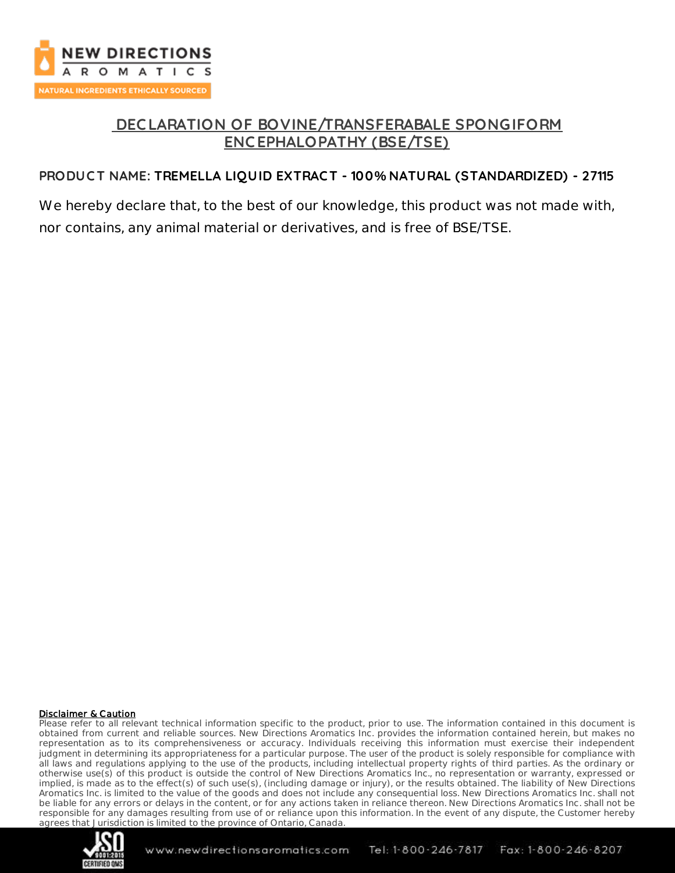

# **DEC LARATION OF BOVINE/TRANSFERABALE SPONGIFORM ENC EPHALOPATHY (BSE/TSE)**

## **PRODUC T NAME: TREMELLA LIQUID EXTRAC T - 100% NATURAL (STANDARDIZED) - 27115**

We hereby declare that, to the best of our knowledge, this product was not made with, nor contains, any animal material or derivatives, and is free of BSE/TSE.

#### Disclaimer & Caution

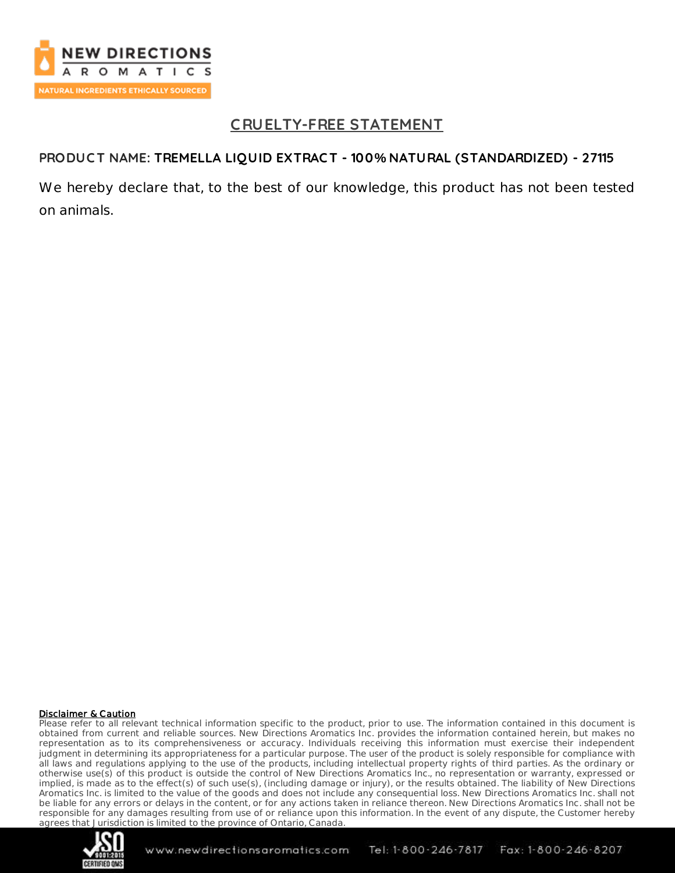

# **C RUELTY-FREE STATEMENT**

### **PRODUC T NAME: TREMELLA LIQUID EXTRAC T - 100% NATURAL (STANDARDIZED) - 27115**

We hereby declare that, to the best of our knowledge, this product has not been tested on animals.

#### Disclaimer & Caution

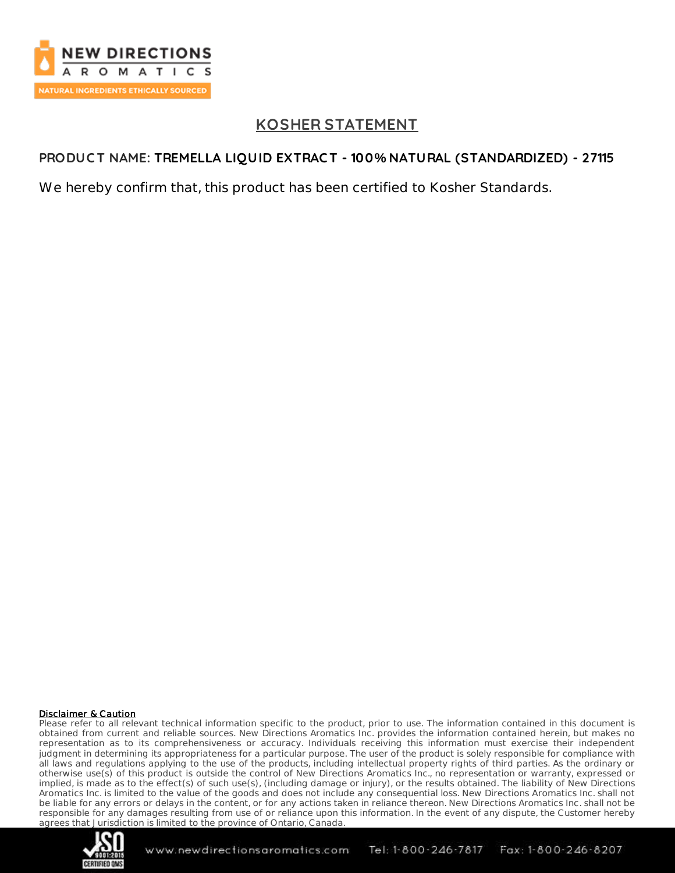

# **KOSHER STATEMENT**

## **PRODUC T NAME: TREMELLA LIQUID EXTRAC T - 100% NATURAL (STANDARDIZED) - 27115**

We hereby confirm that, this product has been certified to Kosher Standards.

#### Disclaimer & Caution

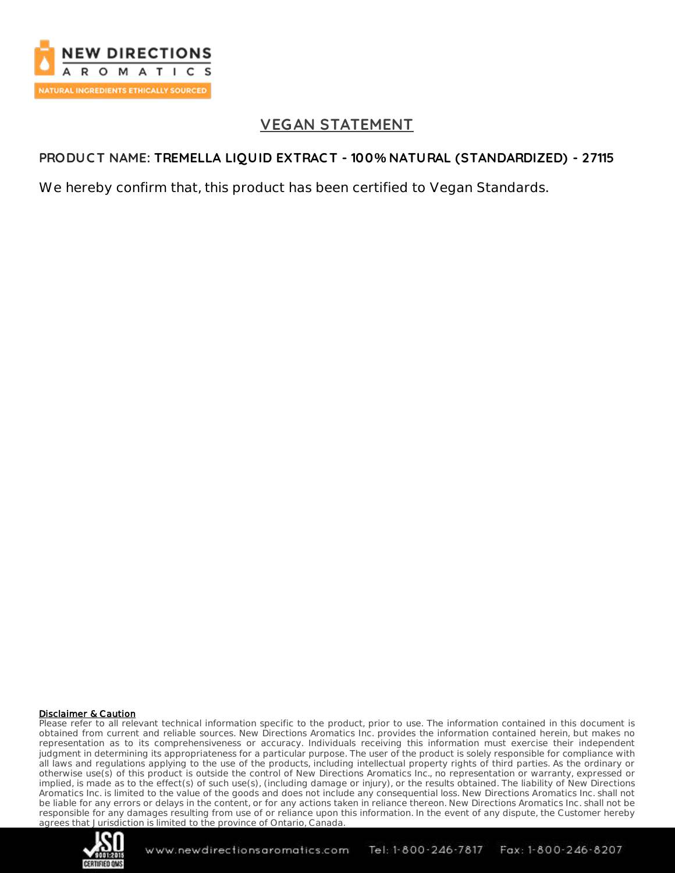

# **VEGAN STATEMENT**

### **PRODUC T NAME: TREMELLA LIQUID EXTRAC T - 100% NATURAL (STANDARDIZED) - 27115**

We hereby confirm that, this product has been certified to Vegan Standards.

#### Disclaimer & Caution

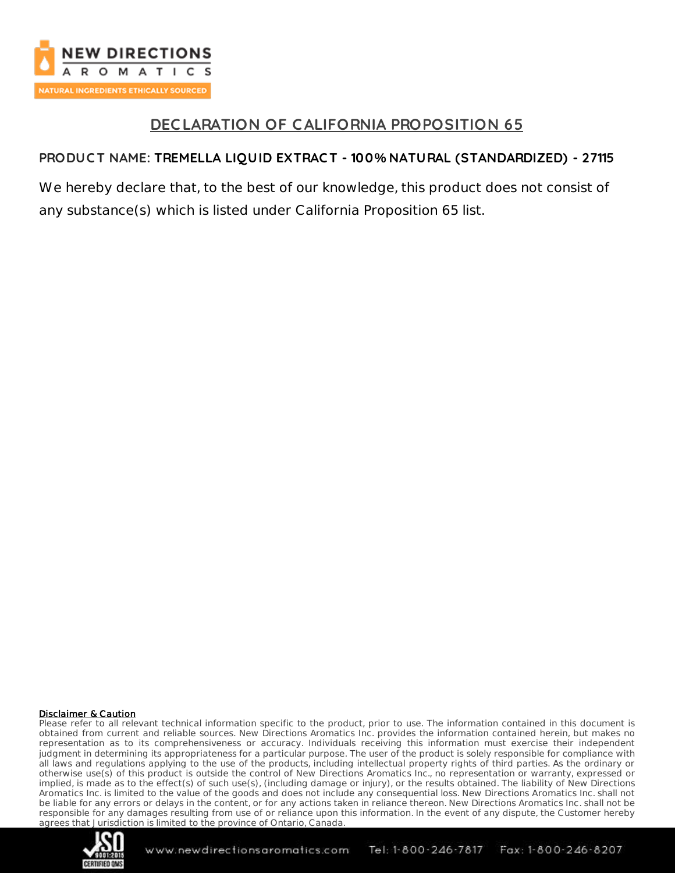

# **DEC LARATION OF CALIFORNIA PROPOSITION 65**

## **PRODUC T NAME: TREMELLA LIQUID EXTRAC T - 100% NATURAL (STANDARDIZED) - 27115**

We hereby declare that, to the best of our knowledge, this product does not consist of any substance(s) which is listed under California Proposition 65 list.

#### Disclaimer & Caution